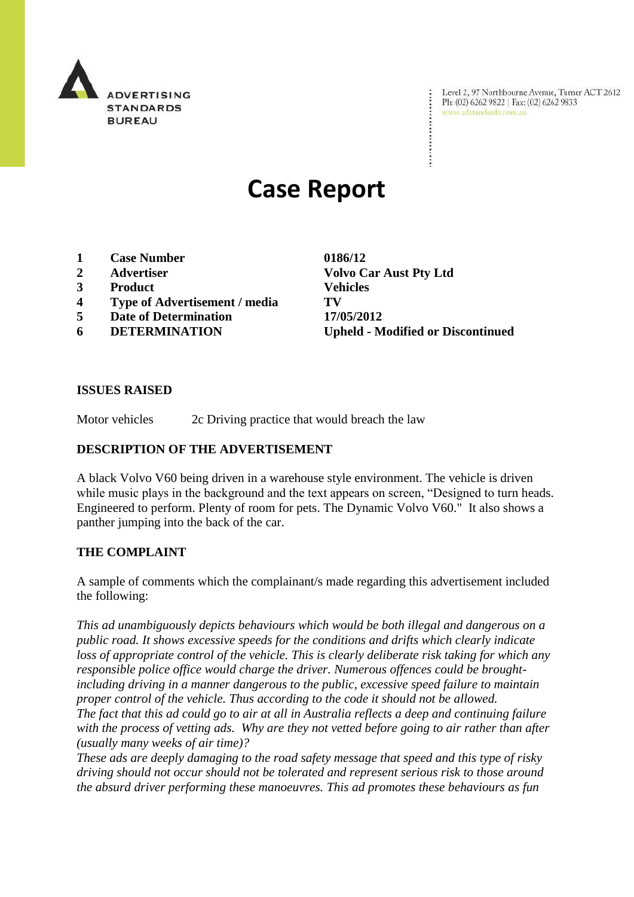

Level 2, 97 Northbourne Avenue, Turner ACT 2612 Ph: (02) 6262 9822 | Fax: (02) 6262 9833 www.adstandards.com.au

# **Case Report**

- **1 Case Number 0186/12**
- 
- **3 Product Vehicles**
- **4 Type of Advertisement / media TV**
- **5 Date of Determination 17/05/2012**
- 

**2 Advertiser Volvo Car Aust Pty Ltd 6 DETERMINATION Upheld - Modified or Discontinued**

#### **ISSUES RAISED**

Motor vehicles 2c Driving practice that would breach the law

#### **DESCRIPTION OF THE ADVERTISEMENT**

A black Volvo V60 being driven in a warehouse style environment. The vehicle is driven while music plays in the background and the text appears on screen, "Designed to turn heads. Engineered to perform. Plenty of room for pets. The Dynamic Volvo V60." It also shows a panther jumping into the back of the car.

#### **THE COMPLAINT**

A sample of comments which the complainant/s made regarding this advertisement included the following:

*This ad unambiguously depicts behaviours which would be both illegal and dangerous on a public road. It shows excessive speeds for the conditions and drifts which clearly indicate loss of appropriate control of the vehicle. This is clearly deliberate risk taking for which any responsible police office would charge the driver. Numerous offences could be broughtincluding driving in a manner dangerous to the public, excessive speed failure to maintain proper control of the vehicle. Thus according to the code it should not be allowed. The fact that this ad could go to air at all in Australia reflects a deep and continuing failure with the process of vetting ads. Why are they not vetted before going to air rather than after (usually many weeks of air time)?*

*These ads are deeply damaging to the road safety message that speed and this type of risky driving should not occur should not be tolerated and represent serious risk to those around the absurd driver performing these manoeuvres. This ad promotes these behaviours as fun*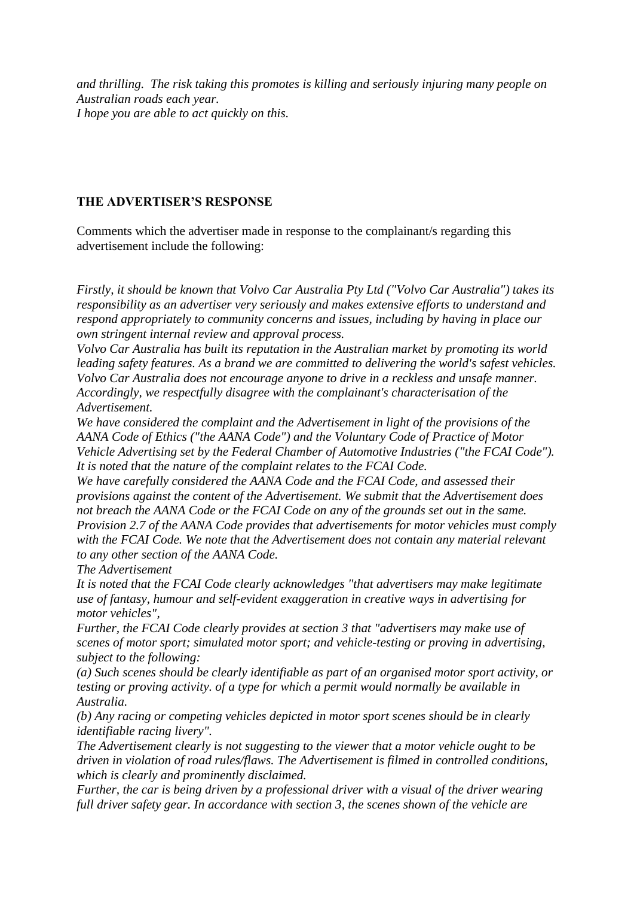*and thrilling. The risk taking this promotes is killing and seriously injuring many people on Australian roads each year. I hope you are able to act quickly on this.*

## **THE ADVERTISER'S RESPONSE**

Comments which the advertiser made in response to the complainant/s regarding this advertisement include the following:

*Firstly, it should be known that Volvo Car Australia Pty Ltd ("Volvo Car Australia") takes its responsibility as an advertiser very seriously and makes extensive efforts to understand and respond appropriately to community concerns and issues, including by having in place our own stringent internal review and approval process.*

*Volvo Car Australia has built its reputation in the Australian market by promoting its world leading safety features. As a brand we are committed to delivering the world's safest vehicles. Volvo Car Australia does not encourage anyone to drive in a reckless and unsafe manner. Accordingly, we respectfully disagree with the complainant's characterisation of the Advertisement.*

*We have considered the complaint and the Advertisement in light of the provisions of the AANA Code of Ethics ("the AANA Code") and the Voluntary Code of Practice of Motor Vehicle Advertising set by the Federal Chamber of Automotive Industries ("the FCAI Code"). It is noted that the nature of the complaint relates to the FCAI Code.*

*We have carefully considered the AANA Code and the FCAI Code, and assessed their provisions against the content of the Advertisement. We submit that the Advertisement does not breach the AANA Code or the FCAI Code on any of the grounds set out in the same. Provision 2.7 of the AANA Code provides that advertisements for motor vehicles must comply with the FCAI Code. We note that the Advertisement does not contain any material relevant to any other section of the AANA Code.*

*The Advertisement*

*It is noted that the FCAI Code clearly acknowledges "that advertisers may make legitimate use of fantasy, humour and self-evident exaggeration in creative ways in advertising for motor vehicles",*

*Further, the FCAI Code clearly provides at section 3 that "advertisers may make use of scenes of motor sport; simulated motor sport; and vehicle-testing or proving in advertising, subject to the following:*

*(a) Such scenes should be clearly identifiable as part of an organised motor sport activity, or testing or proving activity. of a type for which a permit would normally be available in Australia.*

*(b) Any racing or competing vehicles depicted in motor sport scenes should be in clearly identifiable racing livery".*

*The Advertisement clearly is not suggesting to the viewer that a motor vehicle ought to be driven in violation of road rules/flaws. The Advertisement is filmed in controlled conditions, which is clearly and prominently disclaimed.*

*Further, the car is being driven by a professional driver with a visual of the driver wearing full driver safety gear. In accordance with section 3, the scenes shown of the vehicle are*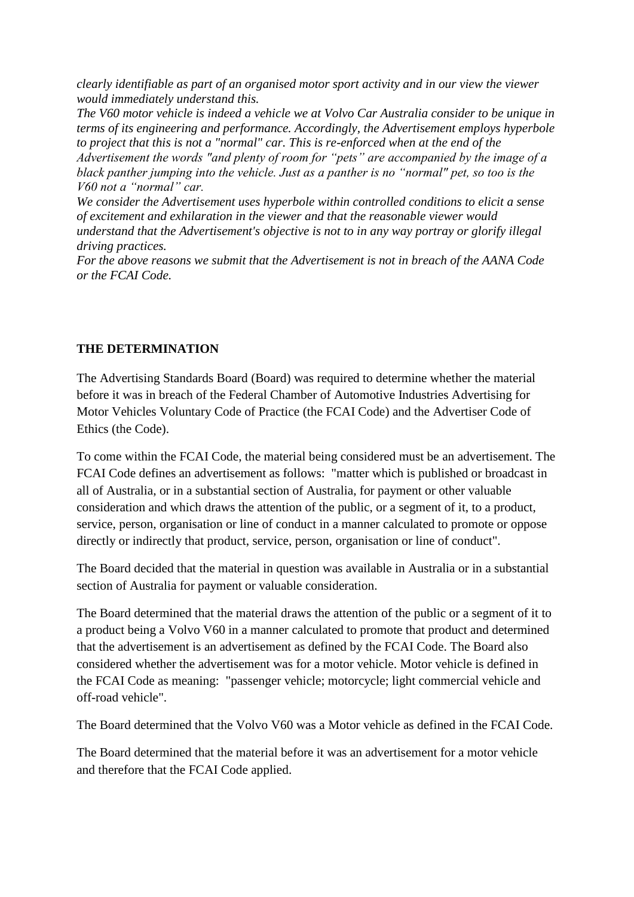*clearly identifiable as part of an organised motor sport activity and in our view the viewer would immediately understand this.*

*The V60 motor vehicle is indeed a vehicle we at Volvo Car Australia consider to be unique in terms of its engineering and performance. Accordingly, the Advertisement employs hyperbole to project that this is not a "normal" car. This is re-enforced when at the end of the Advertisement the words "and plenty of room for "pets" are accompanied by the image of a* 

*black panther jumping into the vehicle. Just as a panther is no "normal" pet, so too is the V60 not a "normal" car.*

*We consider the Advertisement uses hyperbole within controlled conditions to elicit a sense of excitement and exhilaration in the viewer and that the reasonable viewer would understand that the Advertisement's objective is not to in any way portray or glorify illegal driving practices.*

*For the above reasons we submit that the Advertisement is not in breach of the AANA Code or the FCAI Code.*

### **THE DETERMINATION**

The Advertising Standards Board (Board) was required to determine whether the material before it was in breach of the Federal Chamber of Automotive Industries Advertising for Motor Vehicles Voluntary Code of Practice (the FCAI Code) and the Advertiser Code of Ethics (the Code).

To come within the FCAI Code, the material being considered must be an advertisement. The FCAI Code defines an advertisement as follows: "matter which is published or broadcast in all of Australia, or in a substantial section of Australia, for payment or other valuable consideration and which draws the attention of the public, or a segment of it, to a product, service, person, organisation or line of conduct in a manner calculated to promote or oppose directly or indirectly that product, service, person, organisation or line of conduct".

The Board decided that the material in question was available in Australia or in a substantial section of Australia for payment or valuable consideration.

The Board determined that the material draws the attention of the public or a segment of it to a product being a Volvo V60 in a manner calculated to promote that product and determined that the advertisement is an advertisement as defined by the FCAI Code. The Board also considered whether the advertisement was for a motor vehicle. Motor vehicle is defined in the FCAI Code as meaning: "passenger vehicle; motorcycle; light commercial vehicle and off-road vehicle".

The Board determined that the Volvo V60 was a Motor vehicle as defined in the FCAI Code.

The Board determined that the material before it was an advertisement for a motor vehicle and therefore that the FCAI Code applied.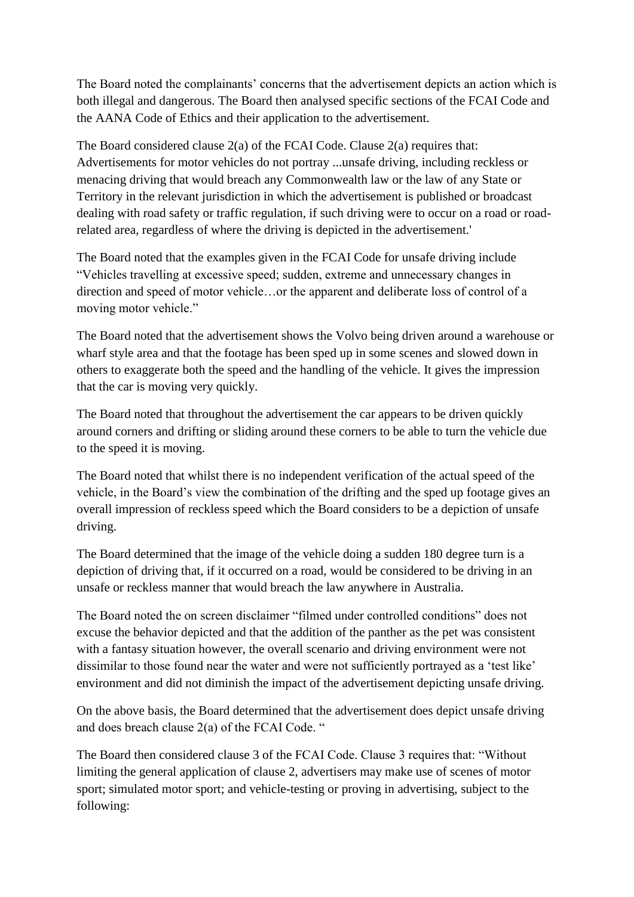The Board noted the complainants' concerns that the advertisement depicts an action which is both illegal and dangerous. The Board then analysed specific sections of the FCAI Code and the AANA Code of Ethics and their application to the advertisement.

The Board considered clause 2(a) of the FCAI Code. Clause 2(a) requires that: Advertisements for motor vehicles do not portray ...unsafe driving, including reckless or menacing driving that would breach any Commonwealth law or the law of any State or Territory in the relevant jurisdiction in which the advertisement is published or broadcast dealing with road safety or traffic regulation, if such driving were to occur on a road or roadrelated area, regardless of where the driving is depicted in the advertisement.'

The Board noted that the examples given in the FCAI Code for unsafe driving include "Vehicles travelling at excessive speed; sudden, extreme and unnecessary changes in direction and speed of motor vehicle…or the apparent and deliberate loss of control of a moving motor vehicle."

The Board noted that the advertisement shows the Volvo being driven around a warehouse or wharf style area and that the footage has been sped up in some scenes and slowed down in others to exaggerate both the speed and the handling of the vehicle. It gives the impression that the car is moving very quickly.

The Board noted that throughout the advertisement the car appears to be driven quickly around corners and drifting or sliding around these corners to be able to turn the vehicle due to the speed it is moving.

The Board noted that whilst there is no independent verification of the actual speed of the vehicle, in the Board"s view the combination of the drifting and the sped up footage gives an overall impression of reckless speed which the Board considers to be a depiction of unsafe driving.

The Board determined that the image of the vehicle doing a sudden 180 degree turn is a depiction of driving that, if it occurred on a road, would be considered to be driving in an unsafe or reckless manner that would breach the law anywhere in Australia.

The Board noted the on screen disclaimer "filmed under controlled conditions" does not excuse the behavior depicted and that the addition of the panther as the pet was consistent with a fantasy situation however, the overall scenario and driving environment were not dissimilar to those found near the water and were not sufficiently portrayed as a 'test like' environment and did not diminish the impact of the advertisement depicting unsafe driving.

On the above basis, the Board determined that the advertisement does depict unsafe driving and does breach clause 2(a) of the FCAI Code. "

The Board then considered clause 3 of the FCAI Code. Clause 3 requires that: "Without limiting the general application of clause 2, advertisers may make use of scenes of motor sport; simulated motor sport; and vehicle-testing or proving in advertising, subject to the following: